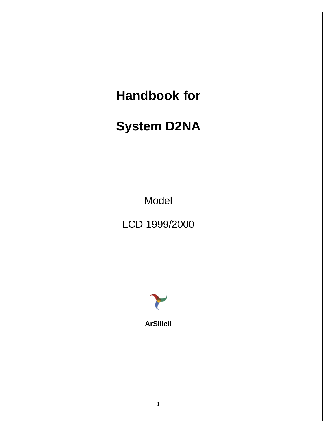# **Handbook for**

# **System D2NA**

Model

LCD 1999/2000



**ArSilicii**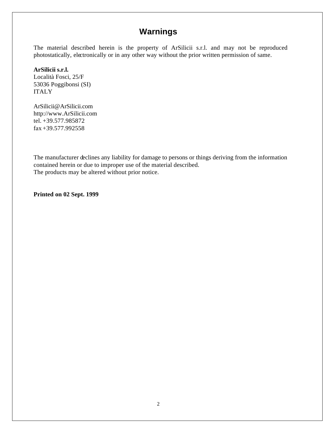## **Warnings**

The material described herein is the property of ArSilicii s.r.l. and may not be reproduced photostatically, electronically or in any other way without the prior written permission of same.

## **ArSilicii s.r.l.**

Località Fosci, 25/F 53036 Poggibonsi (SI) ITALY

ArSilicii@ArSilicii.com http://www.ArSilicii.com tel. +39.577.985872 fax +39.577.992558

The manufacturer declines any liability for damage to persons or things deriving from the information contained herein or due to improper use of the material described. The products may be altered without prior notice.

**Printed on 02 Sept. 1999**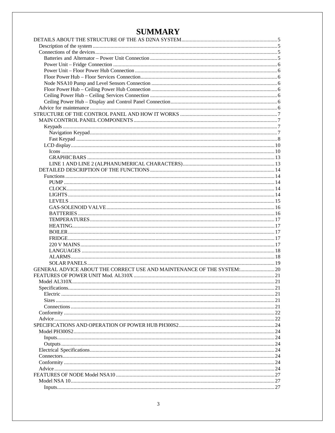## **SUMMARY**

| GENERAL ADVICE ABOUT THE CORRECT USE AND MAINTENANCE OF THE SYSTEM: 20 |    |
|------------------------------------------------------------------------|----|
|                                                                        |    |
|                                                                        |    |
|                                                                        |    |
|                                                                        |    |
|                                                                        |    |
|                                                                        |    |
|                                                                        |    |
|                                                                        |    |
|                                                                        |    |
|                                                                        |    |
|                                                                        |    |
|                                                                        |    |
|                                                                        | 24 |
|                                                                        |    |
|                                                                        |    |
|                                                                        |    |
|                                                                        |    |
|                                                                        |    |
|                                                                        |    |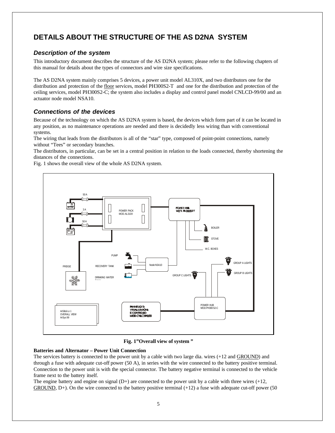## **DETAILS ABOUT THE STRUCTURE OF THE AS D2NA SYSTEM**

## *Description of the system*

This introductory document describes the structure of the AS D2NA system; please refer to the following chapters of this manual for details about the types of connectors and wire size specifications.

The AS D2NA system mainly comprises 5 devices, a power unit model AL310X, and two distributors one for the distribution and protection of the floor services, model PH300S2-T and one for the distribution and protection of the ceiling services, model PH300S2-C; the system also includes a display and control panel model CNLCD-99/00 and an actuator node model NSA10.

### *Connections of the devices*

Because of the technology on which the AS D2NA system is based, the devices which form part of it can be located in any position, as no maintenance operations are needed and there is decidedly less wiring than with conventional systems.

The wiring that leads from the distributors is all of the "star" type, composed of point-point connections, namely without "Tees" or secondary branches.

The distributors, in particular, can be set in a central position in relation to the loads connected, thereby shortening the distances of the connections.

Fig. 1 shows the overall view of the whole AS D2NA system.



**Fig. 1"Overall view of system "**

#### **Batteries and Alternator – Power Unit Connection**

The services battery is connected to the power unit by a cable with two large dia. wires (+12 and GROUND) and through a fuse with adequate cut-off power (50 A), in series with the wire connected to the battery positive terminal. Connection to the power unit is with the special connector. The battery negative terminal is connected to the vehicle frame next to the battery itself.

The engine battery and engine on signal  $(D+)$  are connected to the power unit by a cable with three wires  $(+12,$  $GROUND, D<sub>+</sub>$ ). On the wire connected to the battery positive terminal  $(+12)$  a fuse with adequate cut-off power (50)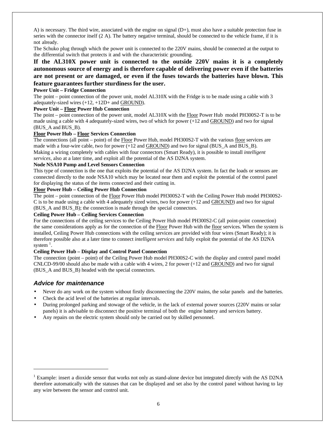A) is necessary. The third wire, associated with the engine on signal (D+), must also have a suitable protection fuse in series with the connector itself  $(2 A)$ . The battery negative terminal, should be connected to the vehicle frame, if it is not already.

The Schuko plug through which the power unit is connected to the 220V mains, should be connected at the output to the differential switch that protects it and with the characteristic grounding.

**If the AL310X power unit is connected to the outside 220V mains it is a completely autonomous source of energy and is therefore capable of delivering power even if the batteries are not present or are damaged, or even if the fuses towards the batteries have blown. This feature guarantees further sturdiness for the user.**

#### **Power Unit – Fridge Connection**

The point – point connection of the power unit, model AL310X with the Fridge is to be made using a cable with 3 adequately-sized wires (+12, +12D+ and GROUND).

#### **Power Unit – Floor Power Hub Connection**

The point – point connection of the power unit, model AL310X with the Floor Power Hub model PH300S2-T is to be made using a cable with 4 adequately-sized wires, two of which for power (+12 and GROUND) and two for signal (BUS\_A and BUS\_B).

#### **Floor Power Hub – Floor Services Connection**

The connections (all point – point) of the Floor Power Hub, model PH300S2-T with the various floor services are made with a four-wire cable, two for power (+12 and GROUND) and two for signal (BUS\_A and BUS\_B). Making a wiring completely with cables with four connectors (Smart Ready), it is possible to install *intelligent services*, also at a later time, and exploit all the potential of the AS D2NA system.

#### **Node NSA10 Pump and Level Sensors Connection**

This type of connection is the one that exploits the potential of the AS D2NA system. In fact the loads or sensors are connected directly to the node NSA10 which may be located near them and exploit the potential of the control panel for displaying the status of the items connected and their cutting in.

#### **Floor Power Hub – Ceiling Power Hub Connection**

The point – point connection of the Floor Power Hub model PH300S2-T with the Ceiling Power Hub model PH300S2-C is to be made using a cable with 4 adequately sized wires, two for power (+12 and GROUND) and two for signal (BUS\_A and BUS\_B); the connection is made through the special connectors.

#### **Ceiling Power Hub – Ceiling Services Connection**

For the connections of the ceiling services to the Ceiling Power Hub model PH300S2-C (all point-point connection) the same considerations apply as for the connection of the Floor Power Hub with the floor services. When the system is installed, Ceiling Power Hub connections with the ceiling services are provided with four wires (Smart Ready); it is therefore possible also at a later time to connect *intelligent services* and fully exploit the potential of the AS D2NA system $<sup>1</sup>$ .</sup>

#### **Ceiling Power Hub – Display and Control Panel Connection**

The connection (point – point) of the Ceiling Power Hub model PH300S2-C with the display and control panel model CNLCD-99/00 should also be made with a cable with 4 wires, 2 for power (+12 and GROUND) and two for signal (BUS\_A and BUS\_B) headed with the special connectors.

### *Advice for maintenance*

- Never do any work on the system without firstly disconnecting the 220V mains, the solar panels and the batteries.
- Check the acid level of the batteries at regular intervals.
- During prolonged parking and stowage of the vehicle, in the lack of external power sources (220V mains or solar panels) it is advisable to disconnect the positive terminal of both the engine battery and services battery.
- Any repairs on the electric system should only be carried out by skilled personnel.

<sup>&</sup>lt;sup>1</sup> Example: insert a dioxide sensor that works not only as stand-alone device but integrated directly with the AS D2NA therefore automatically with the statuses that can be displayed and set also by the control panel without having to lay any wire between the sensor and control unit.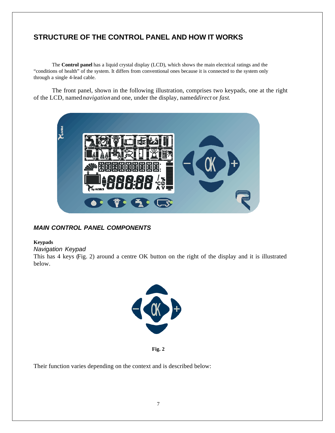## **STRUCTURE OF THE CONTROL PANEL AND HOW IT WORKS**

The **Control panel** has a liquid crystal display (LCD), which shows the main electrical ratings and the "conditions of health" of the system. It differs from conventional ones because it is connected to the system only through a single 4-lead cable.

The front panel, shown in the following illustration, comprises two keypads, one at the right of the LCD, named*navigation*and one, under the display, named*direct* or *fast*.



## *MAIN CONTROL PANEL COMPONENTS*

#### **Keypads**

*Navigation Keypad*

This has 4 keys (Fig. 2) around a centre OK button on the right of the display and it is illustrated below.



**Fig. 2**

Their function varies depending on the context and is described below: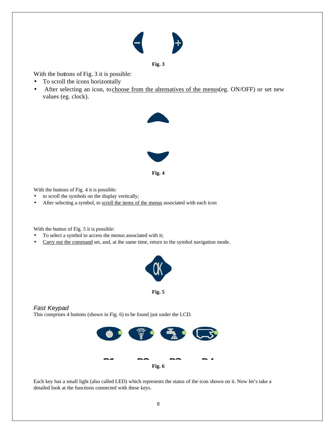#### **Fig. 3**

With the buttons of Fig. 3 it is possible:

- To scroll the icons horizontally
- After selecting an icon, to choose from the alternatives of the menus(eg. ON/OFF) or set new values (eg. clock).



With the buttons of Fig. 4 it is possible:

- to scroll the symbols on the display vertically;
- After selecting a symbol, to scroll the items of the menus associated with each icon

With the button of Fig. 5 it is possible:

- To select a symbol to access the menus associated with it;
- Carry out the command set, and, at the same time, return to the symbol navigation mode.



**Fig. 5**

## *Fast Keypad*

This comprises 4 buttons (shown in Fig. 6) to be found just under the LCD.



Each key has a small light (also called LED) which represents the status of the icon shown on it. Now let's take a detailed look at the functions connected with these keys.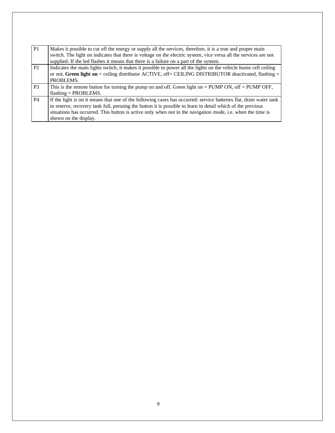| P <sub>1</sub> | Makes it possible to cut off the energy or supply all the services, therefore, it is a true and proper main        |  |  |  |  |  |
|----------------|--------------------------------------------------------------------------------------------------------------------|--|--|--|--|--|
|                | switch. The light on indicates that there is voltage on the electric system, vice versa all the services are not   |  |  |  |  |  |
|                | supplied. If the led flashes it means that there is a failure on a part of the system.                             |  |  |  |  |  |
| P <sub>2</sub> | Indicates the main lights switch, it makes it possible to power all the lights on the vehicle home cell ceiling    |  |  |  |  |  |
|                | or not. Green light on = ceiling distributor ACTIVE, off= CEILING DISTRIBUTOR deactivated, flashing =              |  |  |  |  |  |
|                | PROBLEMS.                                                                                                          |  |  |  |  |  |
| P <sub>3</sub> | This is the remote button for turning the pump on and off. Green light on $=$ PUMP ON, off $=$ PUMP OFF,           |  |  |  |  |  |
|                | $flashing = PROBLEMS$ .                                                                                            |  |  |  |  |  |
| <b>P4</b>      | If the light is on it means that one of the following cases has occurred: service batteries flat, drain water tank |  |  |  |  |  |
|                | in reserve, recovery tank full, pressing the button it is possible to learn in detail which of the previous        |  |  |  |  |  |
|                | situations has occurred. This button is active only when not in the navigation mode, i.e. when the time is         |  |  |  |  |  |
|                | shown on the display.                                                                                              |  |  |  |  |  |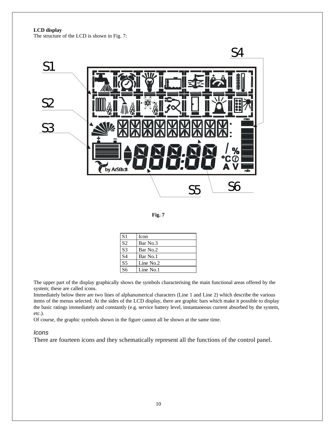**LCD display**

The structure of the LCD is shown in Fig. 7:



**Fig. 7**

| S <sub>1</sub>  | Icon      |
|-----------------|-----------|
| $\overline{S2}$ | Bar No.3  |
| $\overline{S3}$ | Bar No.2  |
| $\overline{S4}$ | Bar No.1  |
| S <sub>5</sub>  | Line No.2 |
| S6              | Line No.1 |

The upper part of the display graphically shows the symbols characterising the main functional areas offered by the system; these are called icons.

Immediately below there are two lines of alphanumerical characters (Line 1 and Line 2) which describe the various items of the menus selected. At the sides of the LCD display, there are graphic bars which make it possible to display the basic ratings immediately and constantly (e.g. service battery level, instantaneous current absorbed by the system, etc.).

Of course, the graphic symbols shown in the figure cannot all be shown at the same time.

#### *Icons*

There are fourteen icons and they schematically represent all the functions of the control panel.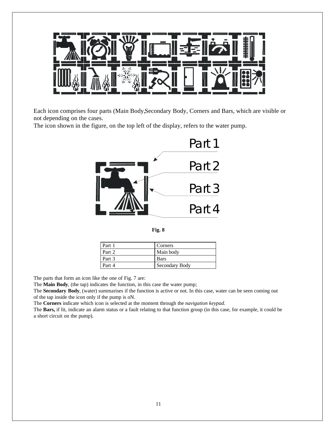

Each icon comprises four parts (Main Body,Secondary Body, Corners and Bars, which are visible or not depending on the cases.

The icon shown in the figure, on the top left of the display, refers to the water pump.



**Fig. 8**

| Part 1 | Corners        |
|--------|----------------|
| Part 2 | Main body      |
| Part 3 | <b>Bars</b>    |
| Part 4 | Secondary Body |

The parts that form an icon like the one of Fig. 7 are:

The **Main Body**, (the tap) indicates the function, in this case the water pump;

The **Secondary Body**, (water) summarises if the function is active or not. In this case, water can be seen coming out of the tap inside the icon only if the pump is oN.

The **Corners** indicate which icon is selected at the moment through the *navigation keypad.*

The **Bars,** if lit, indicate an alarm status or a fault relating to that function group (in this case, for example, it could be a short circuit on the pump).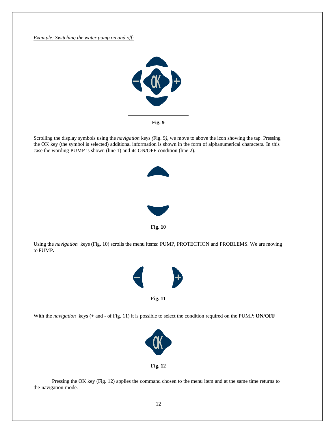*Example: Switching the water pump on and off:*



Scrolling the display symbols using the *navigation* keys *(*Fig. 9*)*, we move to above the icon showing the tap. Pressing the OK key (the symbol is selected) additional information is shown in the form of alphanumerical characters. In this case the wording PUMP is shown (line 1) and its ON/OFF condition (line 2).



Using the *navigation* keys (Fig. 10) scrolls the menu items: PUMP, PROTECTION and PROBLEMS. We are moving to PUMP**.**



With the *navigation* keys (+ and - of Fig. 11) it is possible to select the condition required on the PUMP: **ON**/**OFF**



Pressing the OK key (Fig. 12) applies the command chosen to the menu item and at the same time returns to the navigation mode.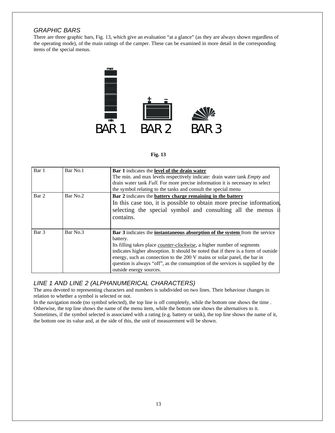## *GRAPHIC BARS*

There are three graphic bars, Fig. 13, which give an evaluation "at a glance" (as they are always shown regardless of the operating mode), of the main ratings of the camper. These can be examined in more detail in the corresponding items of the special menus.



#### **Fig. 13**

| Bar 1 | Bar No.1 | <b>Bar</b> 1 indicates the <b>level of the drain water</b>                                |  |  |
|-------|----------|-------------------------------------------------------------------------------------------|--|--|
|       |          | The min. and max levels respectively indicate: drain water tank <i>Empty</i> and          |  |  |
|       |          | drain water tank <i>Full</i> . For more precise information it is necessary to select     |  |  |
|       |          | the symbol relating to the tanks and consult the special menu                             |  |  |
| Bar 2 | Bar No.2 | Bar 2 indicates the battery charge remaining in the battery                               |  |  |
|       |          | In this case too, it is possible to obtain more precise information,                      |  |  |
|       |          | selecting the special symbol and consulting all the menus if                              |  |  |
|       |          | contains.                                                                                 |  |  |
|       |          |                                                                                           |  |  |
| Bar 3 | Bar No.3 | <b>Bar 3</b> indicates the <b>instantaneous absorption of the system</b> from the service |  |  |
|       |          | battery.                                                                                  |  |  |
|       |          | Its filling takes place <i>counter-clockwise</i> , a higher number of segments            |  |  |
|       |          | indicates higher absorption. It should be noted that if there is a form of outside        |  |  |
|       |          | energy, such as connection to the 200 V mains or solar panel, the bar in                  |  |  |
|       |          | question is always "off", as the consumption of the services is supplied by the           |  |  |
|       |          | outside energy sources.                                                                   |  |  |

## *LINE 1 AND LINE 2 (ALPHANUMERICAL CHARACTERS)*

The area devoted to representing characters and numbers is subdivided on two lines. Their behaviour changes in relation to whether a symbol is selected or not.

In the navigation mode (no symbol selected), the top line is off completely, while the bottom one shows the time . Otherwise, the top line shows the name of the menu item, while the bottom one shows the alternatives to it. Sometimes, if the symbol selected is associated with a rating (e.g. battery or tank), the top line shows the name of it, the bottom one its value and, at the side of this, the unit of measurement will be shown.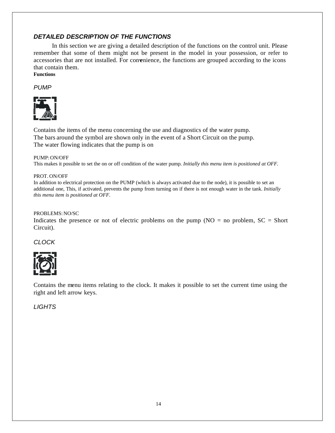## *DETAILED DESCRIPTION OF THE FUNCTIONS*

In this section we are giving a detailed description of the functions on the control unit. Please remember that some of them might not be present in the model in your possession, or refer to accessories that are not installed. For convenience, the functions are grouped according to the icons that contain them. **Functions**

*PUMP*



Contains the items of the menu concerning the use and diagnostics of the water pump. The bars around the symbol are shown only in the event of a Short Circuit on the pump. The water flowing indicates that the pump is on

#### PUMP: ON/OFF

This makes it possible to set the on or off condition of the water pump. *Initially this menu item is positioned at OFF.*

#### PROT. ON/OFF

In addition to electrical protection on the PUMP (which is always activated due to the node), it is possible to set an additional one, This, if activated, prevents the pump from turning on if there is not enough water in the tank. *Initially this menu item is positioned at OFF.*

#### PROBLEMS: NO/SC

Indicates the presence or not of electric problems on the pump ( $NO =$  no problem,  $SC =$  Short Circuit).

*CLOCK*



Contains the menu items relating to the clock. It makes it possible to set the current time using the right and left arrow keys.

## *LIGHTS*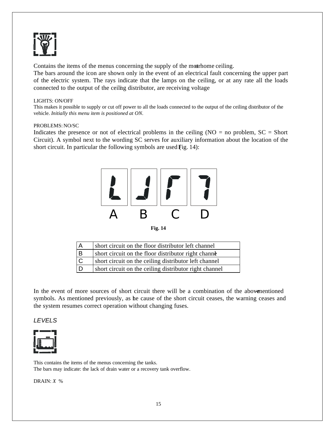

Contains the items of the menus concerning the supply of the motrhome ceiling.

The bars around the icon are shown only in the event of an electrical fault concerning the upper part of the electric system. The rays indicate that the lamps on the ceiling, or at any rate all the loads connected to the output of the ceiling distributor, are receiving voltage

#### LIGHTS: ON/OFF

This makes it possible to supply or cut off power to all the loads connected to the output of the ceiling distributor of the vehicle. *Initially this menu item is positioned at ON.*

#### PROBLEMS: NO/SC

Indicates the presence or not of electrical problems in the ceiling  $(NO = no problem, SC = Short$ Circuit). A symbol next to the wording SC serves for auxiliary information about the location of the short circuit. In particular the following symbols are used  $Fig. 14$ :



**Fig. 14**

|     | short circuit on the floor distributor left channel    |
|-----|--------------------------------------------------------|
| l B | short circuit on the floor distributor right channe    |
| c   | short circuit on the ceiling distributor left channel  |
|     | short circuit on the ceiling distributor right channel |

In the event of more sources of short circuit there will be a combination of the abovementioned symbols. As mentioned previously, as he cause of the short circuit ceases, the warning ceases and the system resumes correct operation without changing fuses.

*LEVELS*



This contains the items of the menus concerning the tanks. The bars may indicate: the lack of drain water or a recovery tank overflow.

DRAIN: *X* %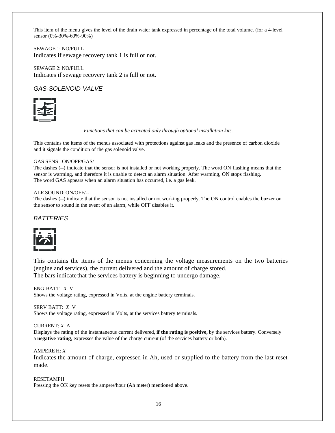This item of the menu gives the level of the drain water tank expressed in percentage of the total volume. (for a 4-level sensor (0%-30%-60%-90%)

SEWAGE 1: NO/FULL Indicates if sewage recovery tank 1 is full or not.

SEWAGE 2: NO/FULL Indicates if sewage recovery tank 2 is full or not.

## *GAS-SOLENOID VALVE*



#### *Functions that can be activated only through optional installation kits.*

This contains the items of the menus associated with protections against gas leaks and the presence of carbon dioxide and it signals the condition of the gas solenoid valve.

#### GAS SENS : ON/OFF/GAS/--

The dashes (--) indicate that the sensor is not installed or not working properly. The word ON flashing means that the sensor is warming, and therefore it is unable to detect an alarm situation. After warming, ON stops flashing. The word GAS appears when an alarm situation has occurred, i.e. a gas leak.

#### ALR SOUND: ON/OFF/--

The dashes (--) indicate that the sensor is not installed or not working properly. The ON control enables the buzzer on the sensor to sound in the event of an alarm, while OFF disables it.

#### *BATTERIES*



This contains the items of the menus concerning the voltage measurements on the two batteries (engine and services), the current delivered and the amount of charge stored. The bars indicate that the services battery is beginning to undergo damage.

ENG BATT: *X* V Shows the voltage rating, expressed in Volts, at the engine battery terminals.

SERV BATT: *X* V Shows the voltage rating, expressed in Volts, at the services battery terminals.

#### CURRENT: *X* A

Displays the rating of the instantaneous current delivered, **if the rating is positive,** by the services battery. Conversely a **negative rating**, expresses the value of the charge current (of the services battery or both).

#### AMPERE H: *X*

Indicates the amount of charge, expressed in Ah, used or supplied to the battery from the last reset made.

#### RESETAMPH

Pressing the OK key resets the ampere/hour (Ah meter) mentioned above.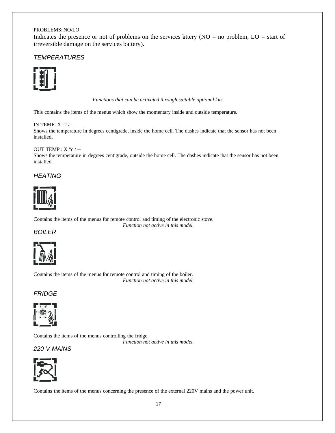#### PROBLEMS: NO/LO

Indicates the presence or not of problems on the services hettery ( $NO =$  no problem,  $LO =$  start of irreversible damage on the services battery).

### *TEMPERATURES*



*Functions that can be activated through suitable optional kits.*

This contains the items of the menus which show the momentary inside and outside temperature.

IN TEMP: X  $^{\circ}$ c / --Shows the temperature in degrees centigrade, inside the home cell. The dashes indicate that the sensor has not been installed.

#### OUT TEMP :  $X \degree c$  /--

Shows the temperature in degrees centigrade, outside the home cell. The dashes indicate that the sensor has not been installed.

*HEATING*



Contains the items of the menus for remote control and timing of the electronic stove. *Function not active in this model.*

#### *BOILER*



Contains the items of the menus for remote control and timing of the boiler. *Function not active in this model.*

## *FRIDGE*



Contains the items of the menus controlling the fridge.

*Function not active in this model.*

*220 V MAINS*



Contains the items of the menus concerning the presence of the external 220V mains and the power unit.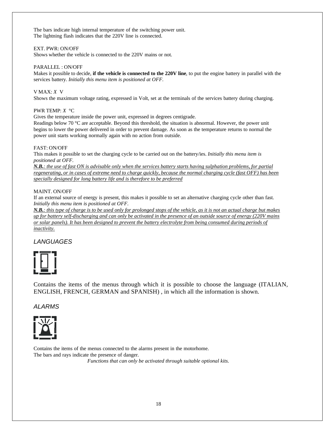The bars indicate high internal temperature of the switching power unit. The lightning flash indicates that the 220V line is connected.

#### EXT. PWR: ON/OFF

Shows whether the vehicle is connected to the 220V mains or not.

#### PARALLEL : ON/OFF

Makes it possible to decide, **if the vehicle is connected to the 220V line**, to put the engine battery in parallel with the services battery. *Initially this menu item is positioned at OFF.*

#### V MAX: *X* V

Shows the maximum voltage rating, expressed in Volt, set at the terminals of the services battery during charging.

#### PWR TEMP: *X* °C

Gives the temperature inside the power unit, expressed in degrees centigrade.

Readings below 70 °C are acceptable. Beyond this threshold, the situation is abnormal. However, the power unit begins to lower the power delivered in order to prevent damage. As soon as the temperature returns to normal the power unit starts working normally again with no action from outside.

#### FAST: ON/OFF

This makes it possible to set the charging cycle to be carried out on the battery/ies. *Initially this menu item is positioned at OFF.*

*N.B.: the use of fast ON is advisable only when the services battery starts having sulphation problems, for partial regenerating, or in cases of extreme need to charge quickly, because the normal charging cycle (fast OFF) has been specially designed for long battery life and is therefore to be preferred*

#### MAINT. ON/OFF

If an external source of energy is present, this makes it possible to set an alternative charging cycle other than fast. *Initially this menu item is positioned at OFF.*

*N.B.: this type of charge is to be used only for prolonged stops of the vehicle, as it is not an actual charge but makes up for battery self-discharging and can only be activated in the presence of an outside source of energy (220V mains or solar panels). It has been designed to prevent the battery electrolyte from being consumed during periods of inactivity.*

## *LANGUAGES*



Contains the items of the menus through which it is possible to choose the language (ITALIAN, ENGLISH, FRENCH, GERMAN and SPANISH) , in which all the information is shown.

### *ALARMS*



Contains the items of the menus connected to the alarms present in the motorhome. The bars and rays indicate the presence of danger.

*Functions that can only be activated through suitable optional kits.*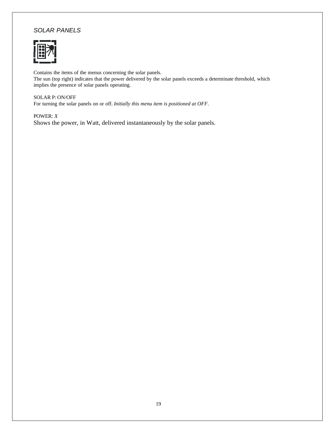## *SOLAR PANELS*



Contains the items of the menus concerning the solar panels. The sun (top right) indicates that the power delivered by the solar panels exceeds a determinate threshold, which implies the presence of solar panels operating.

### SOLAR P: ON/OFF

For turning the solar panels on or off. *Initially this menu item is positioned at OFF.*

POWER: *X* Shows the power, in Watt, delivered instantaneously by the solar panels.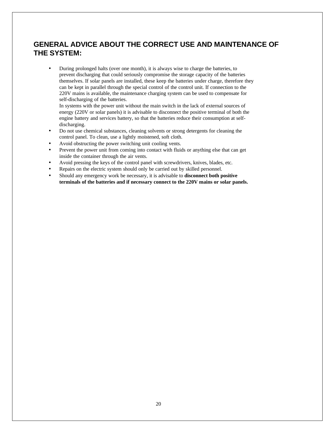## **GENERAL ADVICE ABOUT THE CORRECT USE AND MAINTENANCE OF THE SYSTEM:**

• During prolonged halts (over one month), it is always wise to charge the batteries, to prevent discharging that could seriously compromise the storage capacity of the batteries themselves. If solar panels are installed, these keep the batteries under charge, therefore they can be kept in parallel through the special control of the control unit. If connection to the 220V mains is available, the maintenance charging system can be used to compensate for self-discharging of the batteries.

In systems with the power unit without the main switch in the lack of external sources of energy (220V or solar panels) it is advisable to disconnect the positive terminal of both the engine battery and services battery, so that the batteries reduce their consumption at selfdischarging.

- Do not use chemical substances, cleaning solvents or strong detergents for cleaning the control panel. To clean, use a lightly moistened, soft cloth.
- Avoid obstructing the power switching unit cooling vents.
- Prevent the power unit from coming into contact with fluids or anything else that can get inside the container through the air vents.
- Avoid pressing the keys of the control panel with screwdrivers, knives, blades, etc.
- Repairs on the electric system should only be carried out by skilled personnel.
- Should any emergency work be necessary, it is advisable to **disconnect both positive terminals of the batteries and if necessary connect to the 220V mains or solar panels.**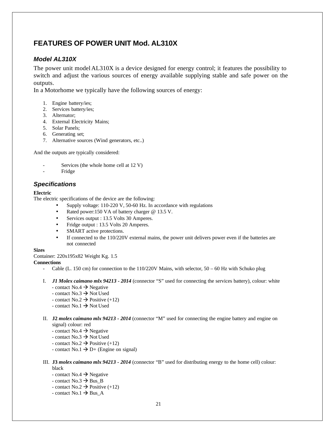## **FEATURES OF POWER UNIT Mod. AL310X**

## *Model AL310X*

The power unit modelAL310X is a device designed for energy control; it features the possibility to switch and adjust the various sources of energy available supplying stable and safe power on the outputs.

In a Motorhome we typically have the following sources of energy:

- 1. Engine battery/ies;
- 2. Services battery/ies;
- 3. Alternator;
- 4. External Electricity Mains;
- 5. Solar Panels;
- 6. Generating set;
- 7. Alternative sources (Wind generators, etc..)

And the outputs are typically considered:

- Services (the whole home cell at 12 V)
- **Fridge**

## *Specifications*

#### **Electric**

The electric specifications of the device are the following:

- Supply voltage: 110-220 V, 50-60 Hz. In accordance with regulations
- Rated power:150 VA of battery charger @ 13.5 V.
- Services output : 13.5 Volts 30 Amperes.
- Fridge output : 13.5 Volts 20 Amperes.
- SMART active protections.
- If connected to the 110/220V external mains, the power unit delivers power even if the batteries are not connected

#### **Sizes**

Container: 220x195x82 Weight Kg. 1.5

#### **Connections**

- Cable (L. 150 cm) for connection to the 110/220V Mains, with selector, 50 60 Hz with Schuko plug
- I. *J1 Molex caimano mlx 94213 - 2014* (connector "S" used for connecting the services battery), colour: white - contact  $No.4 \rightarrow Ne$  equative
	- contact  $No.3 \rightarrow Not$  Used
	- contact No.2  $\rightarrow$  Positive (+12)
	- contact No.1  $\rightarrow$  Not Used
- II. **J2** *molex caimano mlx 94213 - 2014* (connector "M" used for connecting the engine battery and engine on signal) colour: red
	- contact No.4  $\rightarrow$  Negative
	- contact  $No.3 \rightarrow No$ t Used
	- contact No.2  $\rightarrow$  Positive (+12)
	- contact No.1  $\rightarrow$  D+ (Engine on signal)
- III. **J3** *molex caimano mlx 94213 - 2014* (connector "B" used for distributing energy to the home cell) colour: black
	- contact No.4  $\rightarrow$  Negative
	- contact No.3  $\rightarrow$  Bus B
	- contact No.2  $\rightarrow$  Positive (+12)
	- contact No.1  $\rightarrow$  Bus\_A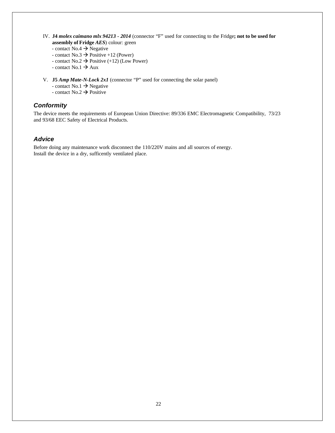- IV. **J4** *molex caimano mlx 94213 - 2014* (connector "F" used for connecting to the Fridge**; not to be used for assembly of Fridge** *AES*) colour: green
	- contact No.4  $\rightarrow$  Negative
	- contact No.3  $\rightarrow$  Positive +12 (Power)
	- contact No.2  $\rightarrow$  Positive (+12) (Low Power)
	- contact No.1  $\rightarrow$  Aux
- V. **J5** *Amp Mate-N-Lock 2x1* (connector "P" used for connecting the solar panel)
	- contact No.1  $\rightarrow$  Negative
	- contact No.2  $\rightarrow$  Positive

### *Conformity*

The device meets the requirements of European Union Directive: 89/336 EMC Electromagnetic Compatibility, 73/23 and 93/68 EEC Safety of Electrical Products.

### *Advice*

Before doing any maintenance work disconnect the 110/220V mains and all sources of energy. Install the device in a dry, sufficently ventilated place.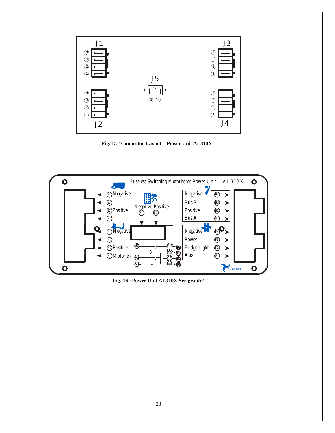

**Fig. 15 "Connector Layout – Power Unit AL310X"**



**Fig. 16 "Power Unit AL310X Serigraph"**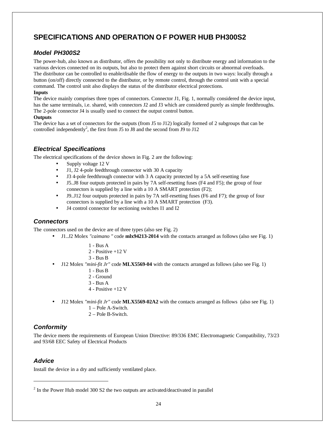## **SPECIFICATIONS AND OPERATION OF POWER HUB PH300S2**

## *Model PH300S2*

The power-hub, also known as distributor, offers the possibility not only to distribute energy and information to the various devices connected on its outputs, but also to protect them against short circuits or abnormal overloads. The distributor can be controlled to enable/disable the flow of energy to the outputs in two ways: locally through a button (on/off) directly connected to the distributor, or by remote control, through the control unit with a special command. The control unit also displays the status of the distributor electrical protections.

#### **Inputs**

The device mainly comprises three types of connectors. Connector J1, Fig. 1, normally considered the device input, has the same terminals, i.e. shared, with connectors J2 and J3 which are considered purely as simple feedthroughs. The 2-pole connector J4 is usually used to connect the output control button.

#### **Outputs**

The device has a set of connectors for the outputs (from J5 to J12) logically formed of 2 subgroups that can be controlled independently<sup>2</sup>, the first from J5 to J8 and the second from J9 to J12

## *Electrical Specifications*

The electrical specifications of the device shown in Fig. 2 are the following:

- Supply voltage 12 V
- J1, J2 4-pole feedthrough connector with 30 A capacity
- J3 4-pole feedthrough connector with 3 A capacity protected by a 5A self-resetting fuse
- J5..J8 four outputs protected in pairs by 7A self-resetting fuses (F4 and F5); the group of four connectors is supplied by a line with a 10 A SMART protection (F2);
- J9..J12 four outputs protected in pairs by 7A self-resetting fuses (F6 and F7); the group of four connectors is supplied by a line with a 10 A SMART protection (F3).
- J4 control connector for sectioning switches I1 and I2

### *Connectors*

The connectors used on the device are of three types (also see Fig. 2)

- J1..J2 Molex *"caimano "* code **mlx94213-2014** with the contacts arranged as follows (also see Fig. 1)
	- 1 Bus A
	- 2 Positive +12 V
	- 3 Bus B
- J12 Molex *"mini-fit Jr"* code **MLX5569-04** with the contacts arranged as follows (also see Fig. 1)
	- 1 Bus B
	- 2 Ground
	- 3 Bus A
	- 4 Positive +12 V
- J12 Molex *"mini-fit Jr"* code **MLX5569-02A2** with the contacts arranged as follows (also see Fig. 1)
	- 1 Pole A-Switch.
	- 2 Pole B-Switch.

## *Conformity*

The device meets the requirements of European Union Directive: 89/336 EMC Electromagnetic Compatibility, 73/23 and 93/68 EEC Safety of Electrical Products

## *Advice*

Install the device in a dry and sufficiently ventilated place.

 $2$  In the Power Hub model 300 S2 the two outputs are activated/deactivated in parallel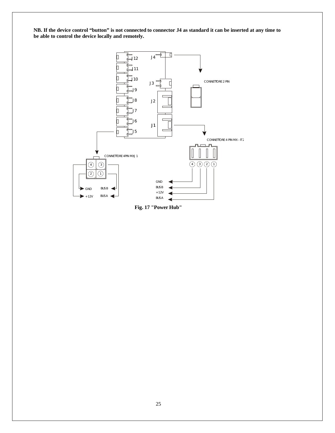**NB. If the device control "button" is not connected to connector J4 as standard it can be inserted at any time to be able to control the device locally and remotely.**



**Fig. 17 "Power Hub"**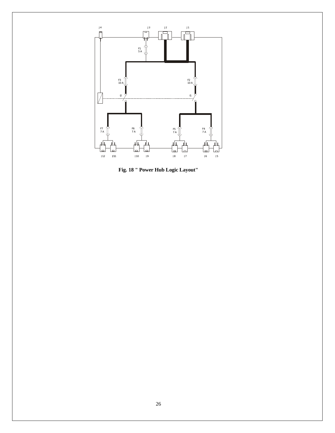

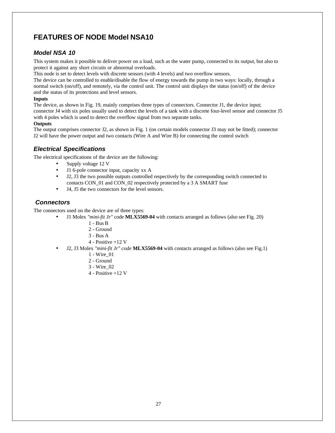## **FEATURES OF NODE Model NSA10**

## *Model NSA 10*

This system makes it possible to deliver power on a load, such as the water pump, connected to its output, but also to protect it against any short circuits or abnormal overloads.

This node is set to detect levels with discrete sensors (with 4 levels) and two overflow sensors.

The device can be controlled to enable/disable the flow of energy towards the pump in two ways: locally, through a normal switch (on/off), and remotely, via the control unit. The control unit displays the status (on/off) of the device and the status of its protections and level sensors.

#### **Inputs**

The device, as shown in Fig. 19, mainly comprises three types of connectors. Connector J1, the device input; connector J4 with six poles usually used to detect the levels of a tank with a discrete four-level sensor and connector J5 with 4 poles which is used to detect the overflow signal from two separate tanks.

#### **Outputs**

The output comprises connector J2, as shown in Fig. 1 (on certain models connector J3 may not be fitted); connector J2 will have the power output and two contacts (Wire A and Wire B) for connecting the control switch

## *Electrical Specifications*

The electrical specifications of the device are the following:

- Supply voltage 12 V
- J1 6-pole connector input, capacity xx A
- J2, J3 the two possible outputs controlled respectively by the corresponding switch connected to contacts CON\_01 and CON\_02 respectively protected by a 3 A SMART fuse
- J4, J5 the two connectors for the level sensors.

## *Connectors*

The connectors used on the device are of three types:

- J1 Molex *"mini-fit Jr"* code **MLX5569-04** with contacts arranged as follows (also see Fig. 20)
	- 1 Bus B
		- 2 Ground
		- 3 Bus A
		- 4 Positive +12 V
- J2, J3 Molex *"mini-fit Jr" code* **MLX5569-04** with contacts arranged as follows (also see Fig.1)
	- 1 Wire\_01
	- 2 Ground
	- 3 Wire\_02
	- 4 Positive +12 V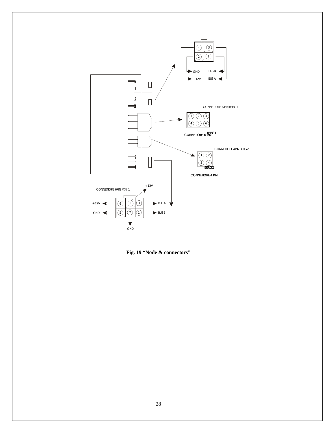

**Fig. 19 "Node & connectors"**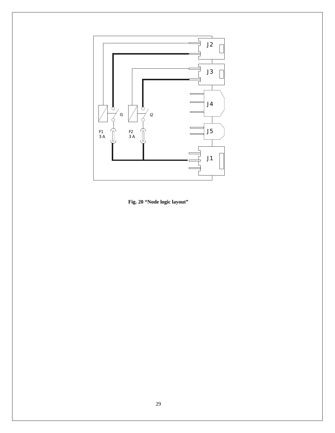

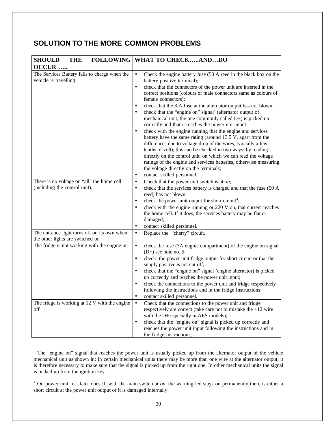## **SOLUTION TO THE MORE COMMON PROBLEMS**

| <b>SHOULD</b><br><b>THE</b>                                                      | <b>FOLLOWING WHAT TO CHECKANDDO</b>                                                                                                                                                                                                                                                                                                                                                                                                                                                                                                                                                                                                                                                                                                                                                                                                                                                                                                                                                                                                                                                        |
|----------------------------------------------------------------------------------|--------------------------------------------------------------------------------------------------------------------------------------------------------------------------------------------------------------------------------------------------------------------------------------------------------------------------------------------------------------------------------------------------------------------------------------------------------------------------------------------------------------------------------------------------------------------------------------------------------------------------------------------------------------------------------------------------------------------------------------------------------------------------------------------------------------------------------------------------------------------------------------------------------------------------------------------------------------------------------------------------------------------------------------------------------------------------------------------|
| OCCUR                                                                            |                                                                                                                                                                                                                                                                                                                                                                                                                                                                                                                                                                                                                                                                                                                                                                                                                                                                                                                                                                                                                                                                                            |
| The Services Battery fails to charge when the<br>vehicle is travelling.          | Check the engine battery fuse (50 A reed in the black box on the<br>$\bullet$<br>battery positive terminal);<br>check that the connectors of the power unit are inserted in the<br>$\bullet$<br>correct positions (colours of male connectors same as colours of<br>female connectors);<br>check that the 3 A fuse at the alternator output has not blown;<br>$\bullet$<br>check that the "engine on" signal <sup>3</sup> (alternator output of<br>$\bullet$<br>mechanical unit, the one commonly called $D+$ ) is picked up<br>correctly and that it reaches the power unit input;<br>check with the engine running that the engine and services<br>$\bullet$<br>battery have the same rating (around 13.5 V, apart from the<br>differences due to voltage drop of the wires, typically a few<br>tenths of volt); this can be checked in two ways: by reading<br>directly on the control unit, on which we can read the voltage<br>ratings of the engine and services batteries, otherwise measuring<br>the voltage directly on the terminals;<br>contact skilled personnel.<br>$\bullet$ |
| There is no voltage on "all" the home cell                                       | Check that the power unit switch is at on;<br>$\bullet$                                                                                                                                                                                                                                                                                                                                                                                                                                                                                                                                                                                                                                                                                                                                                                                                                                                                                                                                                                                                                                    |
| (including the control unit).                                                    | check that the services battery is charged and that the fuse (50 A<br>$\bullet$<br>reed) has not blown;<br>check the power unit output for short circuit <sup>4</sup> ;<br>$\bullet$<br>check with the engine running or 220 V on, that current reaches<br>$\bullet$<br>the home cell. If it does, the services battery may be flat or<br>damaged;<br>contact skilled personnel.                                                                                                                                                                                                                                                                                                                                                                                                                                                                                                                                                                                                                                                                                                           |
| The entrance light turns off on its own when                                     | Replace the "cherry" circuit.<br>$\bullet$                                                                                                                                                                                                                                                                                                                                                                                                                                                                                                                                                                                                                                                                                                                                                                                                                                                                                                                                                                                                                                                 |
| the other lights are switched on<br>The fridge is not working with the engine on | check the fuse (3A engine compartment) of the engine on signal<br>$\bullet$<br>$(D+)$ see note no. 5;<br>check the power unit fridge output for short circuit or that the<br>$\bullet$<br>supply positive is not cut off;<br>check that the "engine on" signal (engine alternator) is picked<br>$\bullet$<br>up correctly and reaches the power unit input;<br>check the connections to the power unit and fridge respectively<br>$\bullet$<br>following the instructions and in the fridge Instructions;<br>contact skilled personnel.<br>$\bullet$                                                                                                                                                                                                                                                                                                                                                                                                                                                                                                                                       |
| The fridge is working at 12 V with the engine<br>off                             | Check that the connections to the power unit and fridge<br>$\bullet$<br>respectively are correct (take care not to mistake the $+12$ wire<br>with the D+ especially in AES models);                                                                                                                                                                                                                                                                                                                                                                                                                                                                                                                                                                                                                                                                                                                                                                                                                                                                                                        |
|                                                                                  | check that the "engine on" signal is picked up correctly and<br>$\bullet$<br>reaches the power unit input following the instructions and in<br>the fridge Instructions;                                                                                                                                                                                                                                                                                                                                                                                                                                                                                                                                                                                                                                                                                                                                                                                                                                                                                                                    |

<sup>&</sup>lt;sup>3</sup> The "engine on" signal that reaches the power unit is usually picked up from the alternator output of the vehicle mechanical unit as shown in; in certain mechanical units there may be more than one wire at the alternator output; it is therefore necessary to make sure that the signal is picked up from the right one. In other mechanical units the signal is picked up from the ignition key.

<sup>4</sup> On power unit or later ones if, with the main switch at *on*, the warning led stays on permanently there is either a short circuit at the power unit output or it is damaged internally.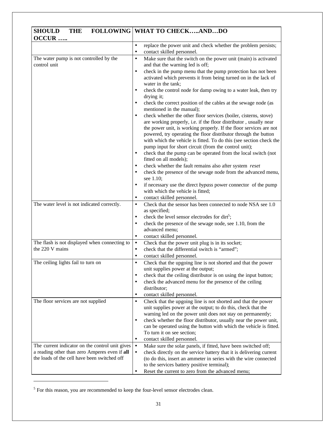| <b>SHOULD</b><br><b>FOLLOWING</b><br><b>THE</b><br>OCCUR                                                                                         | WHAT TO CHECKANDDO                                                                                                                                                                                                                                                                                                                                                                                                                                                                                                                                                                                                                                                                                                                                                                                                                                                                                                                                                                                                                                                                                                                                                                                                                                                                                                                         |
|--------------------------------------------------------------------------------------------------------------------------------------------------|--------------------------------------------------------------------------------------------------------------------------------------------------------------------------------------------------------------------------------------------------------------------------------------------------------------------------------------------------------------------------------------------------------------------------------------------------------------------------------------------------------------------------------------------------------------------------------------------------------------------------------------------------------------------------------------------------------------------------------------------------------------------------------------------------------------------------------------------------------------------------------------------------------------------------------------------------------------------------------------------------------------------------------------------------------------------------------------------------------------------------------------------------------------------------------------------------------------------------------------------------------------------------------------------------------------------------------------------|
|                                                                                                                                                  | replace the power unit and check whether the problem persists;<br>$\bullet$<br>contact skilled personnel.<br>$\bullet$                                                                                                                                                                                                                                                                                                                                                                                                                                                                                                                                                                                                                                                                                                                                                                                                                                                                                                                                                                                                                                                                                                                                                                                                                     |
| The water pump is not controlled by the<br>control unit                                                                                          | Make sure that the switch on the power unit (main) is activated<br>$\bullet$<br>and that the warning led is off;<br>check in the pump menu that the pump protection has not been<br>٠<br>activated which prevents it from being turned on in the lack of<br>water in the tank;<br>check the control node for damp owing to a water leak, then try<br>$\bullet$<br>drying it;<br>check the correct position of the cables at the sewage node (as<br>٠<br>mentioned in the manual);<br>check whether the other floor services (boiler, cisterns, stove)<br>٠<br>are working properly, i.e. if the floor distributor, usually near<br>the power unit, is working properly. If the floor services are not<br>powered, try operating the floor distributor through the button<br>with which the vehicle is fitted. To do this (see section check the<br>pump input for short circuit (from the control unit);<br>check that the pump can be operated from the local switch (not<br>٠<br>fitted on all models);<br>check whether the fault remains also after system reset<br>$\bullet$<br>check the presence of the sewage node from the advanced menu,<br>$\bullet$<br>see 1.10;<br>if necessary use the direct <i>bypass</i> power connector of the pump<br>٠<br>with which the vehicle is fitted;<br>contact skilled personnel.<br>$\bullet$ |
| The water level is not indicated correctly.                                                                                                      | Check that the sensor has been connected to node NSA see 1.0<br>$\bullet$<br>as specified;<br>check the level sensor electrodes for dirt <sup>5</sup> ;<br>٠<br>check the presence of the sewage node, see 1.10, from the<br>٠<br>advanced menu;<br>contact skilled personnel.<br>$\bullet$                                                                                                                                                                                                                                                                                                                                                                                                                                                                                                                                                                                                                                                                                                                                                                                                                                                                                                                                                                                                                                                |
| The flash is not displayed when connecting to<br>the 220 V mains                                                                                 | Check that the power unit plug is in its socket;<br>$\bullet$<br>check that the differential switch is "armed";<br>$\bullet$                                                                                                                                                                                                                                                                                                                                                                                                                                                                                                                                                                                                                                                                                                                                                                                                                                                                                                                                                                                                                                                                                                                                                                                                               |
| The ceiling lights fail to turn on                                                                                                               | contact skilled personnel.<br>٠<br>Check that the upgoing line is not shorted and that the power<br>$\bullet$<br>unit supplies power at the output;<br>check that the ceiling distributor is on using the input button;<br>٠<br>check the advanced menu for the presence of the ceiling<br>$\bullet$<br>distributor;<br>contact skilled personnel.<br>٠                                                                                                                                                                                                                                                                                                                                                                                                                                                                                                                                                                                                                                                                                                                                                                                                                                                                                                                                                                                    |
| The floor services are not supplied                                                                                                              | Check that the upgoing line is not shorted and that the power<br>$\bullet$<br>unit supplies power at the output; to do this, check that the<br>warning led on the power unit does not stay on permanently;<br>check whether the floor distributor, usually near the power unit,<br>$\bullet$<br>can be operated using the button with which the vehicle is fitted.<br>To turn it on see section;<br>contact skilled personnel.<br>٠                                                                                                                                                                                                                                                                                                                                                                                                                                                                                                                                                                                                                                                                                                                                                                                                                                                                                                        |
| The current indicator on the control unit gives<br>a reading other than zero Amperes even if all<br>the loads of the cell have been switched off | Make sure the solar panels, if fitted, have been switched off;<br>$\bullet$<br>check directly on the service battery that it is delivering current<br>$\bullet$<br>(to do this, insert an ammeter in series with the wire connected<br>to the services battery positive terminal);<br>Reset the current to zero from the advanced menu;<br>٠                                                                                                                                                                                                                                                                                                                                                                                                                                                                                                                                                                                                                                                                                                                                                                                                                                                                                                                                                                                               |

 $<sup>5</sup>$  For this reason, you are recommended to keep the four-level sensor electrodes clean.</sup>